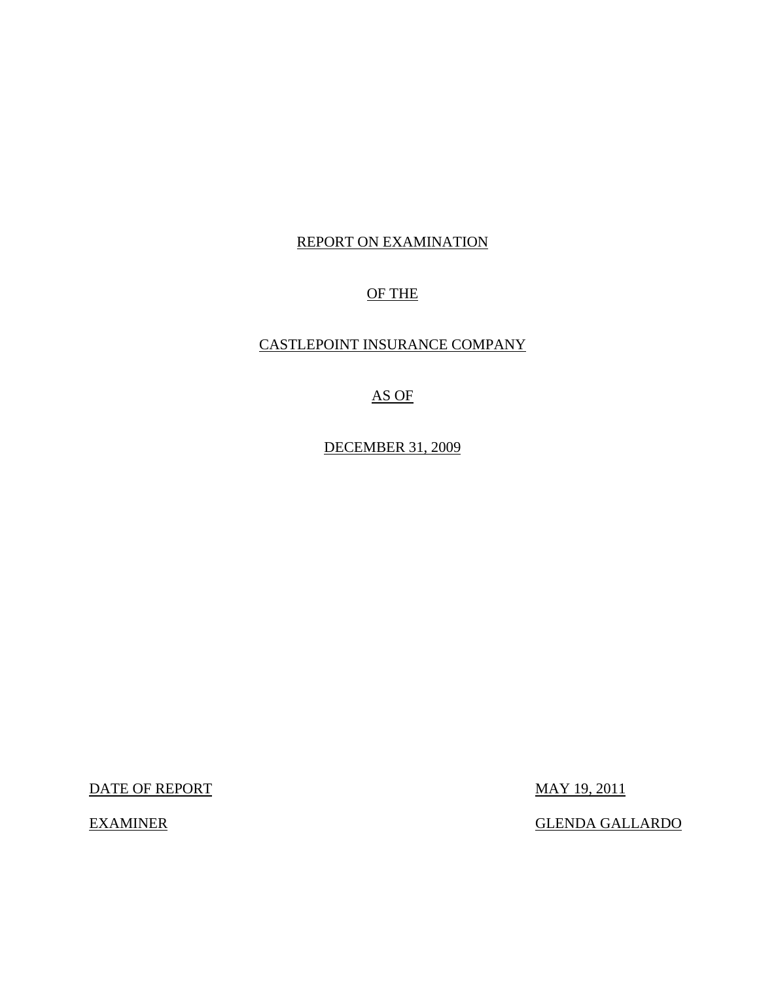# REPORT ON EXAMINATION

# OF THE

# CASTLEPOINT INSURANCE COMPANY

# AS OF

DECEMBER 31, 2009

DATE OF REPORT MAY 19, 2011

EXAMINER GLENDA GALLARDO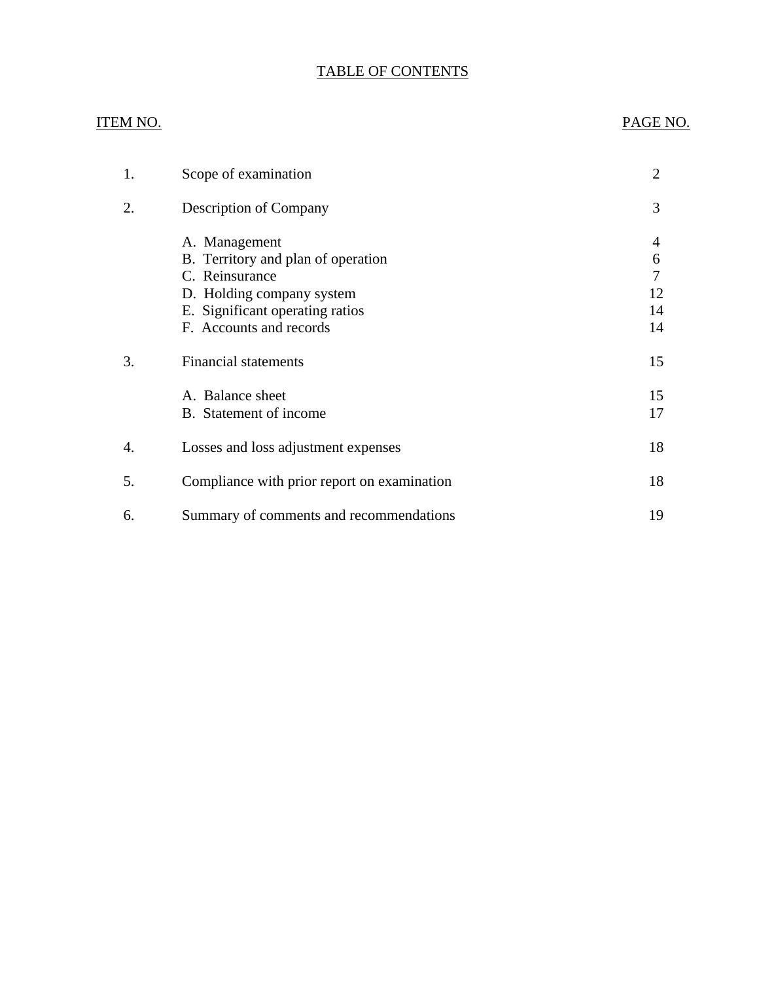# TABLE OF CONTENTS

## ITEM NO. PAGE NO.

| 1. | Scope of examination                                                                                                                                             | $\overline{2}$                |
|----|------------------------------------------------------------------------------------------------------------------------------------------------------------------|-------------------------------|
| 2. | <b>Description of Company</b>                                                                                                                                    | 3                             |
|    | A. Management<br>B. Territory and plan of operation<br>C. Reinsurance<br>D. Holding company system<br>E. Significant operating ratios<br>F. Accounts and records | 4<br>6<br>7<br>12<br>14<br>14 |
| 3. | <b>Financial statements</b>                                                                                                                                      | 15                            |
|    | A. Balance sheet<br>B. Statement of income                                                                                                                       | 15<br>17                      |
| 4. | Losses and loss adjustment expenses                                                                                                                              | 18                            |
| 5. | Compliance with prior report on examination                                                                                                                      | 18                            |
| 6. | Summary of comments and recommendations                                                                                                                          | 19                            |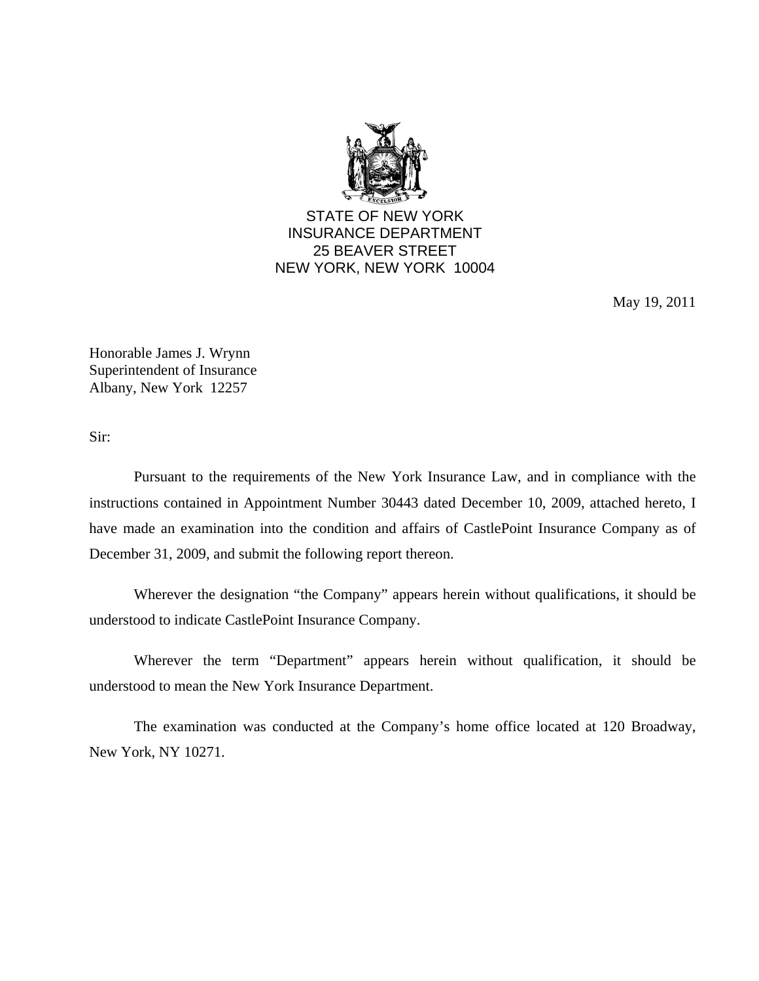

STATE OF NEW YORK INSURANCE DEPARTMENT 25 BEAVER STREET NEW YORK, NEW YORK 10004

May 19, 2011

Honorable James J. Wrynn Superintendent of Insurance Albany, New York 12257

Sir:

Pursuant to the requirements of the New York Insurance Law, and in compliance with the instructions contained in Appointment Number 30443 dated December 10, 2009, attached hereto, I have made an examination into the condition and affairs of CastlePoint Insurance Company as of December 31, 2009, and submit the following report thereon.

Wherever the designation "the Company" appears herein without qualifications, it should be understood to indicate CastlePoint Insurance Company.

Wherever the term "Department" appears herein without qualification, it should be understood to mean the New York Insurance Department.

The examination was conducted at the Company's home office located at 120 Broadway, New York, NY 10271.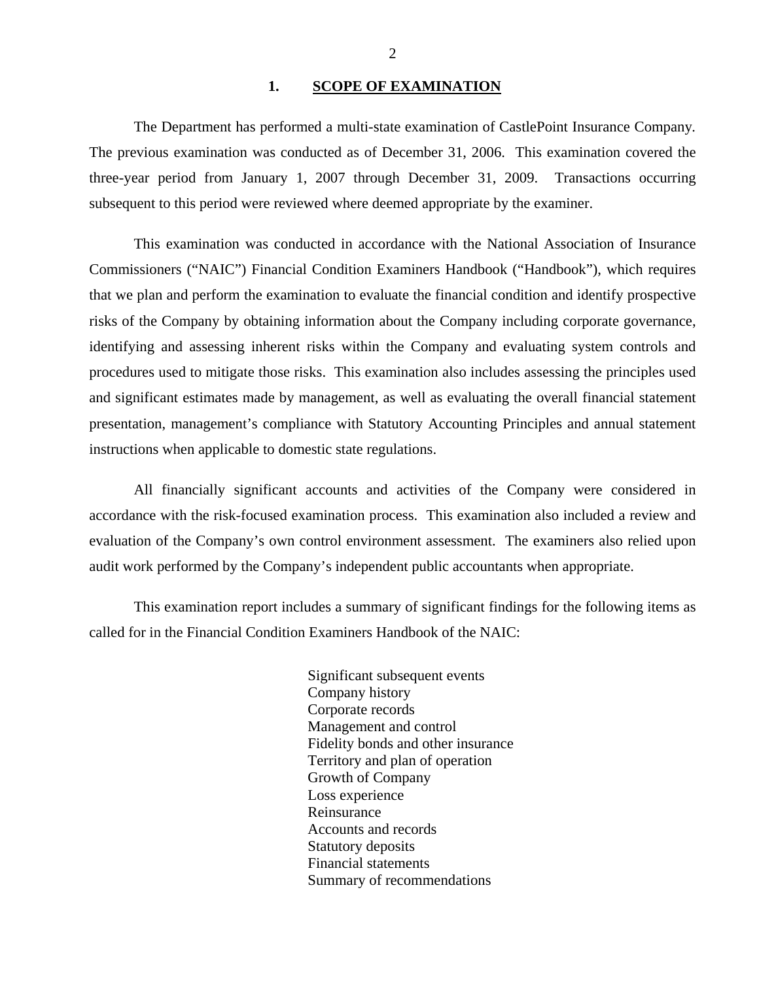#### 1. **SCOPE OF EXAMINATION**

<span id="page-3-0"></span>The Department has performed a multi-state examination of CastlePoint Insurance Company*.*  The previous examination was conducted as of December 31, 2006. This examination covered the three-year period from January 1, 2007 through December 31, 2009. Transactions occurring subsequent to this period were reviewed where deemed appropriate by the examiner.

This examination was conducted in accordance with the National Association of Insurance Commissioners ("NAIC") Financial Condition Examiners Handbook ("Handbook"), which requires that we plan and perform the examination to evaluate the financial condition and identify prospective risks of the Company by obtaining information about the Company including corporate governance, identifying and assessing inherent risks within the Company and evaluating system controls and procedures used to mitigate those risks. This examination also includes assessing the principles used and significant estimates made by management, as well as evaluating the overall financial statement presentation, management's compliance with Statutory Accounting Principles and annual statement instructions when applicable to domestic state regulations.

All financially significant accounts and activities of the Company were considered in accordance with the risk-focused examination process. This examination also included a review and evaluation of the Company's own control environment assessment. The examiners also relied upon audit work performed by the Company's independent public accountants when appropriate.

This examination report includes a summary of significant findings for the following items as called for in the Financial Condition Examiners Handbook of the NAIC:

> Significant subsequent events Company history Corporate records Management and control Fidelity bonds and other insurance Territory and plan of operation Growth of Company Loss experience Reinsurance Accounts and records Statutory deposits Financial statements Summary of recommendations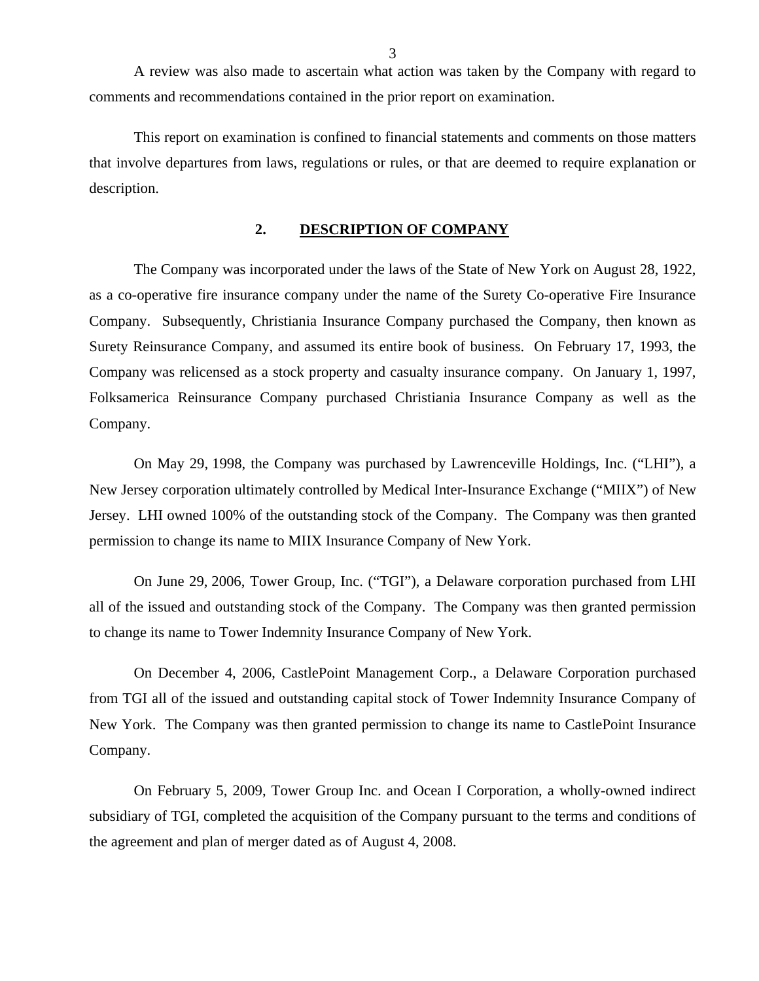<span id="page-4-0"></span>A review was also made to ascertain what action was taken by the Company with regard to comments and recommendations contained in the prior report on examination.

This report on examination is confined to financial statements and comments on those matters that involve departures from laws, regulations or rules, or that are deemed to require explanation or description.

## **2. DESCRIPTION OF COMPANY**

The Company was incorporated under the laws of the State of New York on August 28, 1922, as a co-operative fire insurance company under the name of the Surety Co-operative Fire Insurance Company. Subsequently, Christiania Insurance Company purchased the Company, then known as Surety Reinsurance Company, and assumed its entire book of business. On February 17, 1993, the Company was relicensed as a stock property and casualty insurance company. On January 1, 1997, Folksamerica Reinsurance Company purchased Christiania Insurance Company as well as the Company.

On May 29, 1998, the Company was purchased by Lawrenceville Holdings, Inc. ("LHI"), a New Jersey corporation ultimately controlled by Medical Inter-Insurance Exchange ("MIIX") of New Jersey. LHI owned 100% of the outstanding stock of the Company. The Company was then granted permission to change its name to MIIX Insurance Company of New York.

On June 29, 2006, Tower Group, Inc. ("TGI"), a Delaware corporation purchased from LHI all of the issued and outstanding stock of the Company. The Company was then granted permission to change its name to Tower Indemnity Insurance Company of New York.

On December 4, 2006, CastlePoint Management Corp., a Delaware Corporation purchased from TGI all of the issued and outstanding capital stock of Tower Indemnity Insurance Company of New York. The Company was then granted permission to change its name to CastlePoint Insurance Company.

On February 5, 2009, Tower Group Inc. and Ocean I Corporation, a wholly-owned indirect subsidiary of TGI, completed the acquisition of the Company pursuant to the terms and conditions of the agreement and plan of merger dated as of August 4, 2008.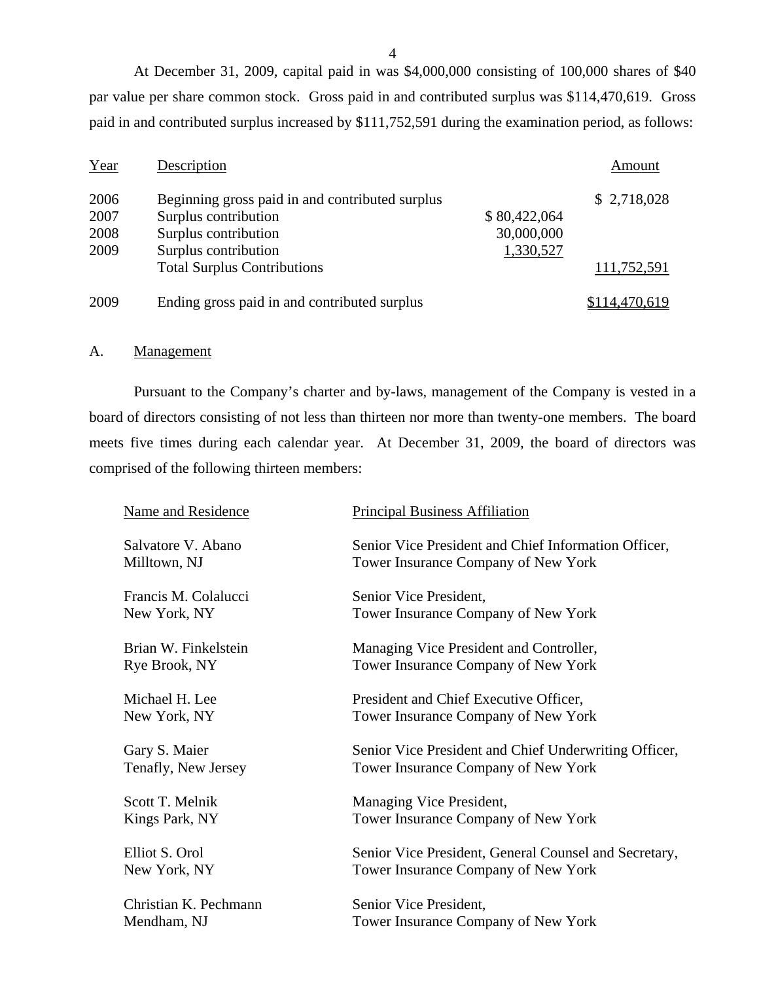At December 31, 2009, capital paid in was \$4,000,000 consisting of 100,000 shares of \$40 par value per share common stock. Gross paid in and contributed surplus was \$114,470,619. Gross paid in and contributed surplus increased by \$111,752,591 during the examination period, as follows:

| Year | Description                                     |              | Amount        |
|------|-------------------------------------------------|--------------|---------------|
| 2006 | Beginning gross paid in and contributed surplus |              | \$2,718,028   |
| 2007 | Surplus contribution                            | \$80,422,064 |               |
| 2008 | Surplus contribution                            | 30,000,000   |               |
| 2009 | Surplus contribution                            | 1,330,527    |               |
|      | <b>Total Surplus Contributions</b>              |              | 111,752,591   |
| 2009 | Ending gross paid in and contributed surplus    |              | \$114,470,619 |

#### A. Management

Pursuant to the Company's charter and by-laws, management of the Company is vested in a board of directors consisting of not less than thirteen nor more than twenty-one members. The board meets five times during each calendar year. At December 31, 2009, the board of directors was comprised of the following thirteen members:

| <b>Name and Residence</b> | <b>Principal Business Affiliation</b>                 |
|---------------------------|-------------------------------------------------------|
| Salvatore V. Abano        | Senior Vice President and Chief Information Officer,  |
| Milltown, NJ              | Tower Insurance Company of New York                   |
| Francis M. Colalucci      | Senior Vice President,                                |
| New York, NY              | Tower Insurance Company of New York                   |
| Brian W. Finkelstein      | Managing Vice President and Controller,               |
| Rye Brook, NY             | Tower Insurance Company of New York                   |
| Michael H. Lee            | President and Chief Executive Officer,                |
| New York, NY              | Tower Insurance Company of New York                   |
| Gary S. Maier             | Senior Vice President and Chief Underwriting Officer, |
| Tenafly, New Jersey       | Tower Insurance Company of New York                   |
| Scott T. Melnik           | Managing Vice President,                              |
| Kings Park, NY            | Tower Insurance Company of New York                   |
| Elliot S. Orol            | Senior Vice President, General Counsel and Secretary, |
| New York, NY              | Tower Insurance Company of New York                   |
| Christian K. Pechmann     | Senior Vice President,                                |
| Mendham, NJ               | Tower Insurance Company of New York                   |

4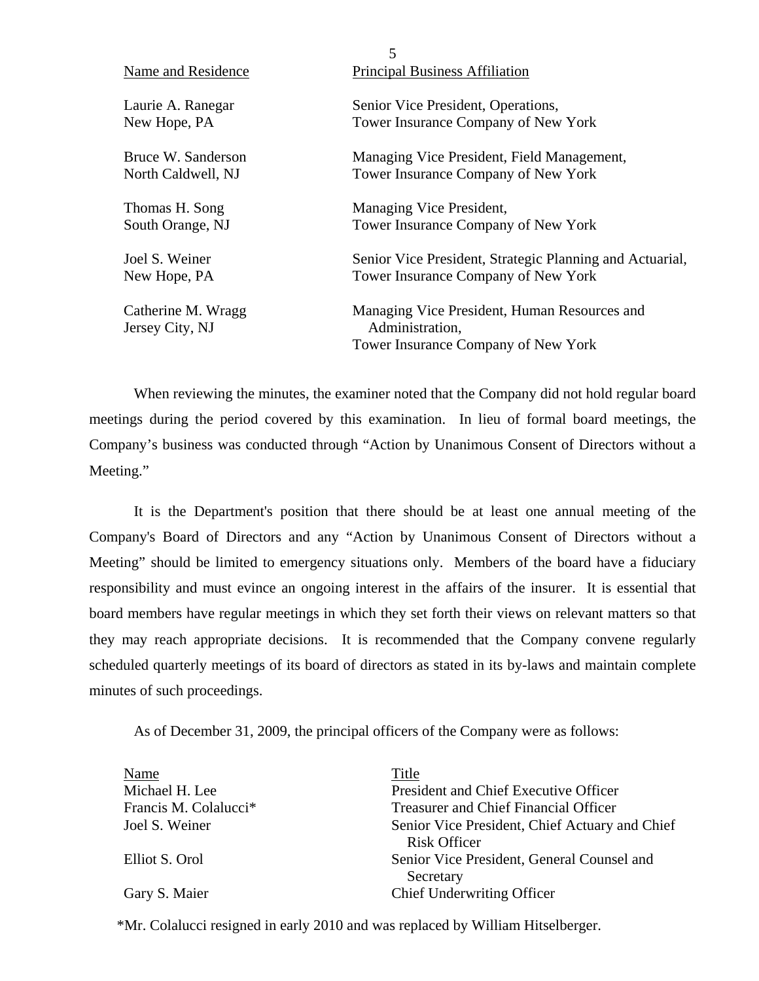|                    | 5                                                        |
|--------------------|----------------------------------------------------------|
| Name and Residence | <b>Principal Business Affiliation</b>                    |
| Laurie A. Ranegar  | Senior Vice President, Operations,                       |
| New Hope, PA       | Tower Insurance Company of New York                      |
| Bruce W. Sanderson | Managing Vice President, Field Management,               |
| North Caldwell, NJ | Tower Insurance Company of New York                      |
| Thomas H. Song     | Managing Vice President,                                 |
| South Orange, NJ   | Tower Insurance Company of New York                      |
| Joel S. Weiner     | Senior Vice President, Strategic Planning and Actuarial, |
| New Hope, PA       | Tower Insurance Company of New York                      |
| Catherine M. Wragg | Managing Vice President, Human Resources and             |
| Jersey City, NJ    | Administration,                                          |
|                    | Tower Insurance Company of New York                      |

When reviewing the minutes, the examiner noted that the Company did not hold regular board meetings during the period covered by this examination. In lieu of formal board meetings, the Company's business was conducted through "Action by Unanimous Consent of Directors without a Meeting."

It is the Department's position that there should be at least one annual meeting of the Company's Board of Directors and any "Action by Unanimous Consent of Directors without a Meeting" should be limited to emergency situations only. Members of the board have a fiduciary responsibility and must evince an ongoing interest in the affairs of the insurer. It is essential that board members have regular meetings in which they set forth their views on relevant matters so that they may reach appropriate decisions. It is recommended that the Company convene regularly scheduled quarterly meetings of its board of directors as stated in its by-laws and maintain complete minutes of such proceedings.

As of December 31, 2009, the principal officers of the Company were as follows:

| Name                              | Title                                                                 |
|-----------------------------------|-----------------------------------------------------------------------|
| Michael H. Lee                    | President and Chief Executive Officer                                 |
| Francis M. Colalucci <sup>*</sup> | <b>Treasurer and Chief Financial Officer</b>                          |
| Joel S. Weiner                    | Senior Vice President, Chief Actuary and Chief<br><b>Risk Officer</b> |
| Elliot S. Orol                    | Senior Vice President, General Counsel and<br>Secretary               |
| Gary S. Maier                     | <b>Chief Underwriting Officer</b>                                     |

\*Mr. Colalucci resigned in early 2010 and was replaced by William Hitselberger.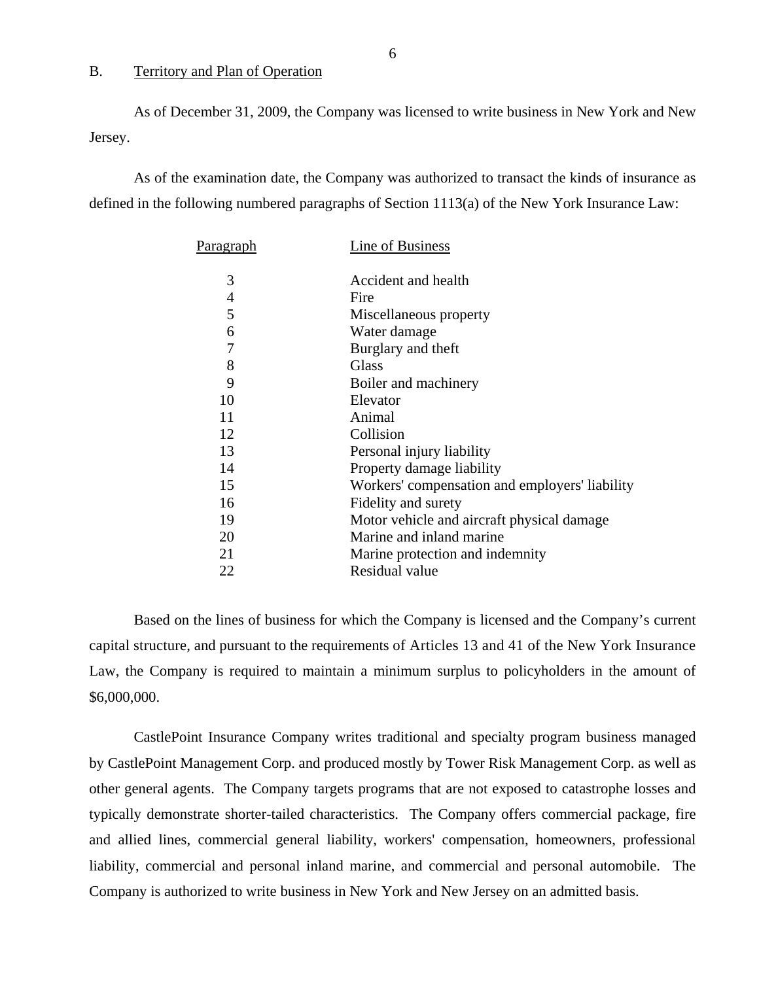### B. Territory and Plan of Operation

As of December 31, 2009, the Company was licensed to write business in New York and New Jersey.

As of the examination date, the Company was authorized to transact the kinds of insurance as defined in the following numbered paragraphs of Section 1113(a) of the New York Insurance Law:

| P <u>aragraph</u> | Line of Business                               |
|-------------------|------------------------------------------------|
| 3                 | Accident and health                            |
| $\overline{4}$    | Fire                                           |
| 5                 | Miscellaneous property                         |
| 6                 | Water damage                                   |
| 7                 | Burglary and theft                             |
| 8                 | Glass                                          |
| 9                 | Boiler and machinery                           |
| 10                | Elevator                                       |
| 11                | Animal                                         |
| 12                | Collision                                      |
| 13                | Personal injury liability                      |
| 14                | Property damage liability                      |
| 15                | Workers' compensation and employers' liability |
| 16                | Fidelity and surety                            |
| 19                | Motor vehicle and aircraft physical damage     |
| 20                | Marine and inland marine                       |
| 21                | Marine protection and indemnity                |
| 22                | Residual value                                 |

Based on the lines of business for which the Company is licensed and the Company's current capital structure, and pursuant to the requirements of Articles 13 and 41 of the New York Insurance Law, the Company is required to maintain a minimum surplus to policyholders in the amount of \$6,000,000.

CastlePoint Insurance Company writes traditional and specialty program business managed by CastlePoint Management Corp. and produced mostly by Tower Risk Management Corp. as well as other general agents. The Company targets programs that are not exposed to catastrophe losses and typically demonstrate shorter-tailed characteristics. The Company offers commercial package, fire and allied lines, commercial general liability, workers' compensation, homeowners, professional liability, commercial and personal inland marine, and commercial and personal automobile. The Company is authorized to write business in New York and New Jersey on an admitted basis.

6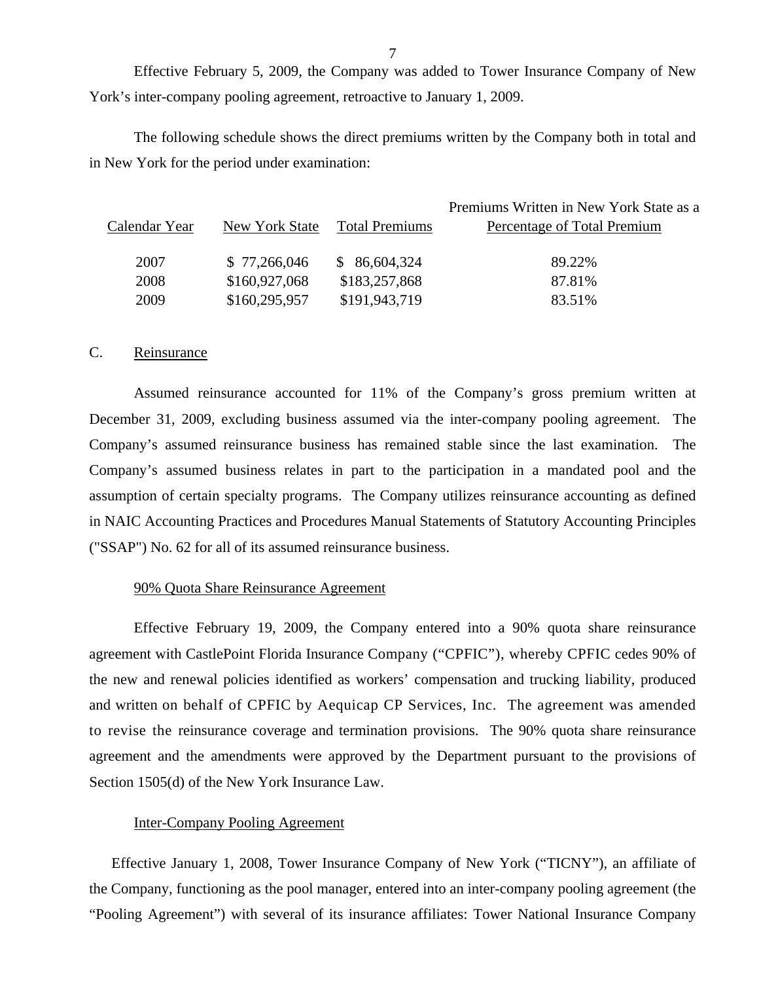<span id="page-8-0"></span>Effective February 5, 2009, the Company was added to Tower Insurance Company of New York's inter-company pooling agreement, retroactive to January 1, 2009.

The following schedule shows the direct premiums written by the Company both in total and in New York for the period under examination:

|               |                |                | Premiums Written in New York State as a |
|---------------|----------------|----------------|-----------------------------------------|
| Calendar Year | New York State | Total Premiums | Percentage of Total Premium             |
|               |                |                |                                         |
| 2007          | \$77,266,046   | \$86,604,324   | 89.22%                                  |
| 2008          | \$160,927,068  | \$183,257,868  | 87.81%                                  |
| 2009          | \$160,295,957  | \$191,943,719  | 83.51%                                  |

### C. Reinsurance

Assumed reinsurance accounted for 11% of the Company's gross premium written at December 31, 2009, excluding business assumed via the inter-company pooling agreement. The Company's assumed reinsurance business has remained stable since the last examination. The Company's assumed business relates in part to the participation in a mandated pool and the assumption of certain specialty programs. The Company utilizes reinsurance accounting as defined in NAIC Accounting Practices and Procedures Manual Statements of Statutory Accounting Principles ("SSAP") No. 62 for all of its assumed reinsurance business.

#### 90% Quota Share Reinsurance Agreement

Effective February 19, 2009, the Company entered into a 90% quota share reinsurance agreement with CastlePoint Florida Insurance Company ("CPFIC"), whereby CPFIC cedes 90% of the new and renewal policies identified as workers' compensation and trucking liability, produced and written on behalf of CPFIC by Aequicap CP Services, Inc. The agreement was amended to revise the reinsurance coverage and termination provisions. The 90% quota share reinsurance agreement and the amendments were approved by the Department pursuant to the provisions of Section 1505(d) of the New York Insurance Law.

#### Inter-Company Pooling Agreement

Effective January 1, 2008, Tower Insurance Company of New York ("TICNY"), an affiliate of the Company, functioning as the pool manager, entered into an inter-company pooling agreement (the "Pooling Agreement") with several of its insurance affiliates: Tower National Insurance Company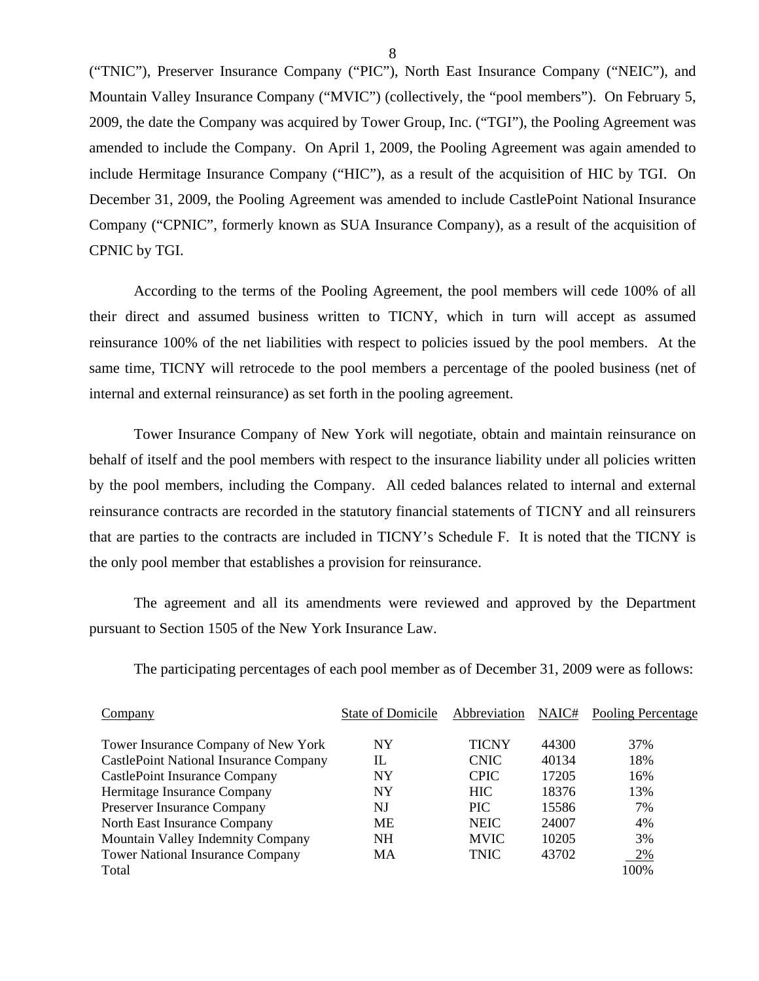("TNIC"), Preserver Insurance Company ("PIC"), North East Insurance Company ("NEIC"), and Mountain Valley Insurance Company ("MVIC") (collectively, the "pool members"). On February 5, 2009, the date the Company was acquired by Tower Group, Inc. ("TGI"), the Pooling Agreement was amended to include the Company. On April 1, 2009, the Pooling Agreement was again amended to include Hermitage Insurance Company ("HIC"), as a result of the acquisition of HIC by TGI. On December 31, 2009, the Pooling Agreement was amended to include CastlePoint National Insurance Company ("CPNIC", formerly known as SUA Insurance Company), as a result of the acquisition of CPNIC by TGI.

According to the terms of the Pooling Agreement, the pool members will cede 100% of all their direct and assumed business written to TICNY, which in turn will accept as assumed reinsurance 100% of the net liabilities with respect to policies issued by the pool members. At the same time, TICNY will retrocede to the pool members a percentage of the pooled business (net of internal and external reinsurance) as set forth in the pooling agreement.

Tower Insurance Company of New York will negotiate, obtain and maintain reinsurance on behalf of itself and the pool members with respect to the insurance liability under all policies written by the pool members, including the Company. All ceded balances related to internal and external reinsurance contracts are recorded in the statutory financial statements of TICNY and all reinsurers that are parties to the contracts are included in TICNY's Schedule F. It is noted that the TICNY is the only pool member that establishes a provision for reinsurance.

The agreement and all its amendments were reviewed and approved by the Department pursuant to Section 1505 of the New York Insurance Law.

The participating percentages of each pool member as of December 31, 2009 were as follows:

| Company                                       | State of Domicile | Abbreviation | NAIC# | Pooling Percentage |
|-----------------------------------------------|-------------------|--------------|-------|--------------------|
| Tower Insurance Company of New York           | <b>NY</b>         | TICNY        | 44300 | 37%                |
| <b>CastlePoint National Insurance Company</b> | IL                | <b>CNIC</b>  | 40134 | 18%                |
| <b>CastlePoint Insurance Company</b>          | <b>NY</b>         | <b>CPIC</b>  | 17205 | 16%                |
| Hermitage Insurance Company                   | <b>NY</b>         | <b>HIC</b>   | 18376 | 13%                |
| <b>Preserver Insurance Company</b>            | NJ                | <b>PIC</b>   | 15586 | 7%                 |
| North East Insurance Company                  | <b>ME</b>         | <b>NEIC</b>  | 24007 | 4%                 |
| Mountain Valley Indemnity Company             | <b>NH</b>         | <b>MVIC</b>  | 10205 | 3%                 |
| <b>Tower National Insurance Company</b>       | MA                | TNIC         | 43702 | 2%                 |
| Total                                         |                   |              |       | 100%               |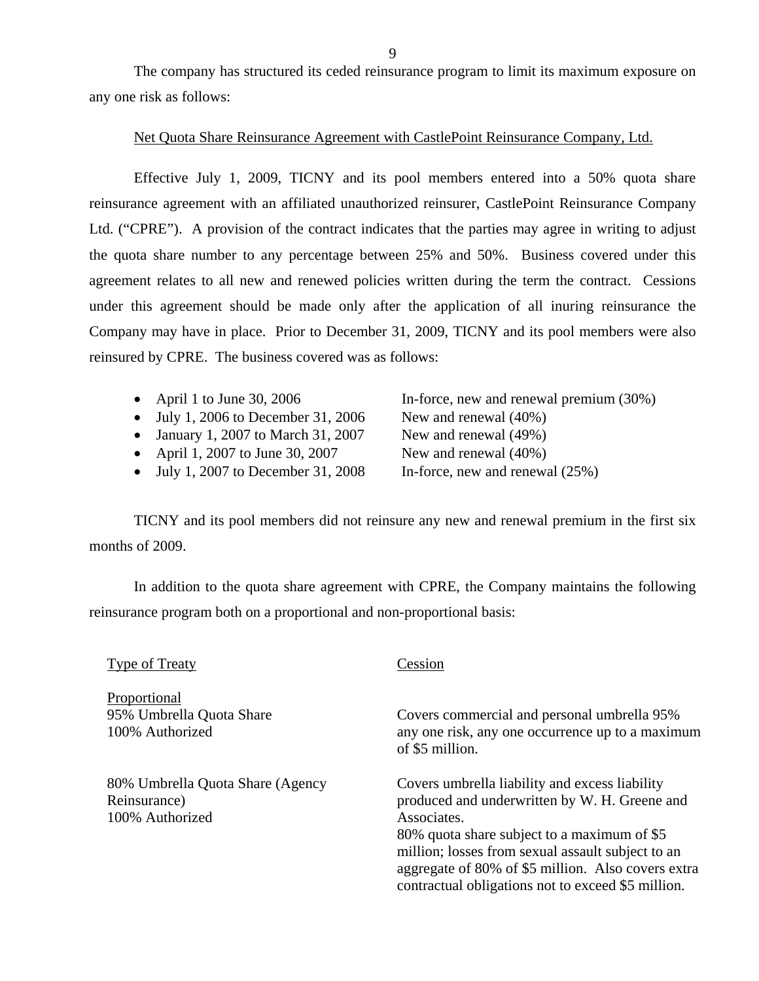The company has structured its ceded reinsurance program to limit its maximum exposure on any one risk as follows:

#### Net Quota Share Reinsurance Agreement with CastlePoint Reinsurance Company, Ltd.

Effective July 1, 2009, TICNY and its pool members entered into a 50% quota share reinsurance agreement with an affiliated unauthorized reinsurer, CastlePoint Reinsurance Company Ltd. ("CPRE"). A provision of the contract indicates that the parties may agree in writing to adjust the quota share number to any percentage between 25% and 50%. Business covered under this agreement relates to all new and renewed policies written during the term the contract. Cessions under this agreement should be made only after the application of all inuring reinsurance the Company may have in place. Prior to December 31, 2009, TICNY and its pool members were also reinsured by CPRE. The business covered was as follows:

- 
- $\bullet$  July 1, 2006 to December 31, 2006 New and renewal (40%)
- January 1, 2007 to March 31, 2007 New and renewal  $(49\%)$
- April 1, 2007 to June 30, 2007 New and renewal  $(40\%)$
- $\bullet$  July 1, 2007 to December 31, 2008 In-force, new and renewal (25%)

• April 1 to June 30, 2006 In-force, new and renewal premium (30%)

TICNY and its pool members did not reinsure any new and renewal premium in the first six months of 2009.

In addition to the quota share agreement with CPRE, the Company maintains the following reinsurance program both on a proportional and non-proportional basis:

| <b>Type of Treaty</b>                                               | Cession                                                                                                                                                                                                                                                                                                                        |
|---------------------------------------------------------------------|--------------------------------------------------------------------------------------------------------------------------------------------------------------------------------------------------------------------------------------------------------------------------------------------------------------------------------|
| Proportional<br>95% Umbrella Quota Share<br>100% Authorized         | Covers commercial and personal umbrella 95%<br>any one risk, any one occurrence up to a maximum<br>of \$5 million.                                                                                                                                                                                                             |
| 80% Umbrella Quota Share (Agency<br>Reinsurance)<br>100% Authorized | Covers umbrella liability and excess liability<br>produced and underwritten by W. H. Greene and<br>Associates.<br>80% quota share subject to a maximum of \$5<br>million; losses from sexual assault subject to an<br>aggregate of 80% of \$5 million. Also covers extra<br>contractual obligations not to exceed \$5 million. |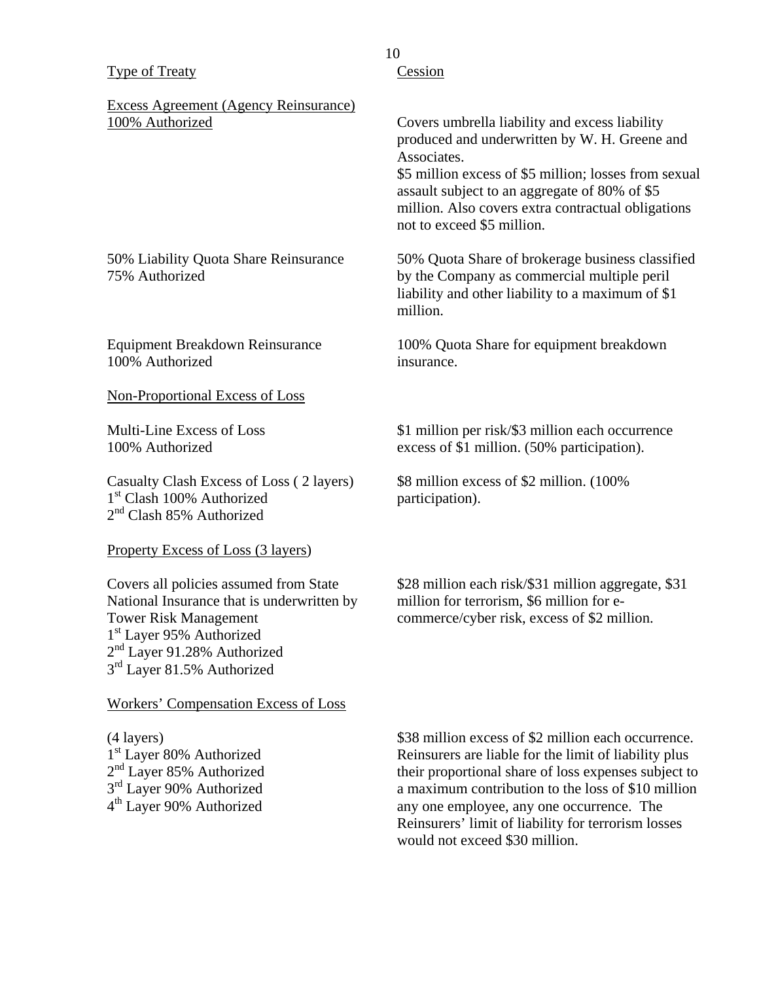#### Type of Treaty

## Excess Agreement (Agency Reinsurance) 100% Authorized

#### 50% Liability Quota Share Reinsurance 75% Authorized

Equipment Breakdown Reinsurance 100% Authorized

#### Non-Proportional Excess of Loss

Multi-Line Excess of Loss 100% Authorized

Casualty Clash Excess of Loss ( 2 layers) 1<sup>st</sup> Clash 100% Authorized 2<sup>nd</sup> Clash 85% Authorized

Property Excess of Loss (3 layers)

Covers all policies assumed from State National Insurance that is underwritten by Tower Risk Management 1<sup>st</sup> Layer 95% Authorized 2<sup>nd</sup> Layer 91.28% Authorized 3<sup>rd</sup> Layer 81.5% Authorized

Workers' Compensation Excess of Loss

(4 layers) 1<sup>st</sup> Layer 80% Authorized 2<sup>nd</sup> Layer 85% Authorized 3<sup>rd</sup> Layer 90% Authorized 4<sup>th</sup> Layer 90% Authorized

10

# Cession

Covers umbrella liability and excess liability produced and underwritten by W. H. Greene and Associates.

\$5 million excess of \$5 million; losses from sexual assault subject to an aggregate of 80% of \$5 million. Also covers extra contractual obligations not to exceed \$5 million.

50% Quota Share of brokerage business classified by the Company as commercial multiple peril liability and other liability to a maximum of \$1 million.

100% Quota Share for equipment breakdown insurance.

\$1 million per risk/\$3 million each occurrence excess of \$1 million. (50% participation).

\$8 million excess of \$2 million. (100% participation).

\$28 million each risk/\$31 million aggregate, \$31 million for terrorism, \$6 million for ecommerce/cyber risk, excess of \$2 million.

\$38 million excess of \$2 million each occurrence. Reinsurers are liable for the limit of liability plus their proportional share of loss expenses subject to a maximum contribution to the loss of \$10 million any one employee, any one occurrence. The Reinsurers' limit of liability for terrorism losses would not exceed \$30 million.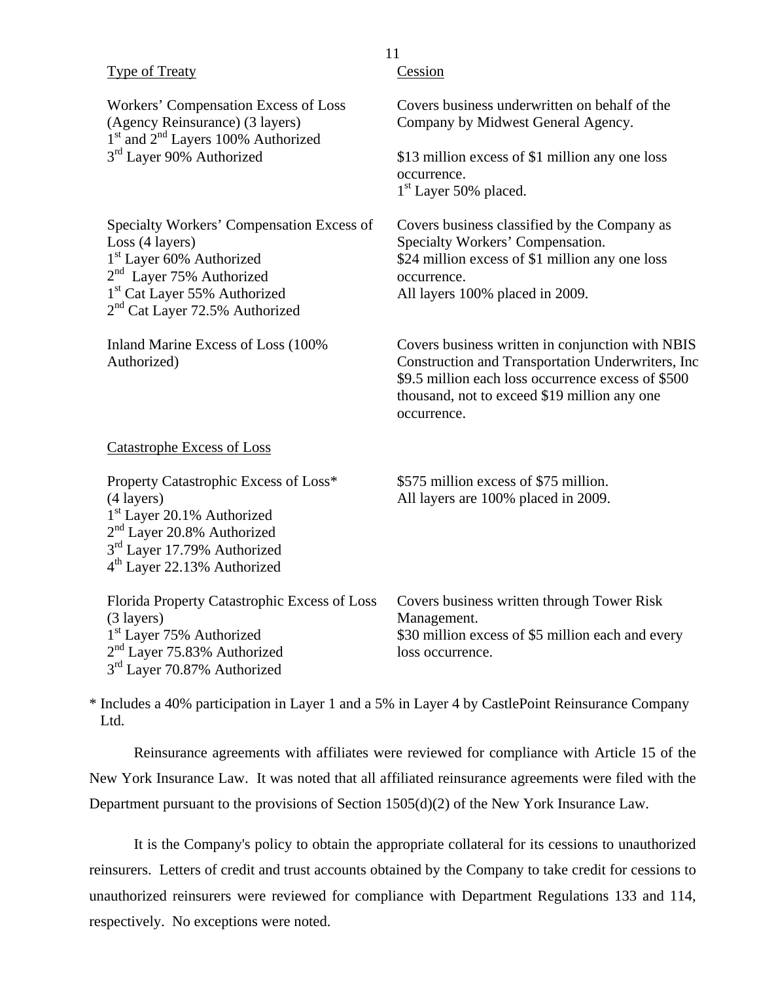| <b>Type of Treaty</b>                                                                                                                                                                                                         | Cession                                                                                                                                                                                                                     |
|-------------------------------------------------------------------------------------------------------------------------------------------------------------------------------------------------------------------------------|-----------------------------------------------------------------------------------------------------------------------------------------------------------------------------------------------------------------------------|
| Workers' Compensation Excess of Loss<br>(Agency Reinsurance) (3 layers)<br>1 <sup>st</sup> and 2 <sup>nd</sup> Layers 100% Authorized                                                                                         | Covers business underwritten on behalf of the<br>Company by Midwest General Agency.                                                                                                                                         |
| 3 <sup>rd</sup> Layer 90% Authorized                                                                                                                                                                                          | \$13 million excess of \$1 million any one loss<br>occurrence.<br>1 <sup>st</sup> Layer 50% placed.                                                                                                                         |
| Specialty Workers' Compensation Excess of<br>Loss (4 layers)<br>1 <sup>st</sup> Layer 60% Authorized<br>2 <sup>nd</sup> Layer 75% Authorized<br>1 <sup>st</sup> Cat Layer 55% Authorized<br>$2nd$ Cat Layer 72.5% Authorized  | Covers business classified by the Company as<br>Specialty Workers' Compensation.<br>\$24 million excess of \$1 million any one loss<br>occurrence.<br>All layers 100% placed in 2009.                                       |
| Inland Marine Excess of Loss (100%)<br>Authorized)                                                                                                                                                                            | Covers business written in conjunction with NBIS<br>Construction and Transportation Underwriters, Inc.<br>\$9.5 million each loss occurrence excess of \$500<br>thousand, not to exceed \$19 million any one<br>occurrence. |
| <b>Catastrophe Excess of Loss</b>                                                                                                                                                                                             |                                                                                                                                                                                                                             |
| Property Catastrophic Excess of Loss*<br>(4 layers)<br>1 <sup>st</sup> Layer 20.1% Authorized<br>2 <sup>nd</sup> Layer 20.8% Authorized<br>3 <sup>rd</sup> Layer 17.79% Authorized<br>4 <sup>th</sup> Layer 22.13% Authorized | \$575 million excess of \$75 million.<br>All layers are 100% placed in 2009.                                                                                                                                                |
| Florida Property Catastrophic Excess of Loss<br>(3 layers)<br>1 <sup>st</sup> Layer 75% Authorized                                                                                                                            | Covers business written through Tower Risk<br>Management.<br>\$30 million excess of \$5 million each and every                                                                                                              |
| 2 <sup>nd</sup> Layer 75.83% Authorized<br>3 <sup>rd</sup> Layer 70.87% Authorized                                                                                                                                            | loss occurrence.                                                                                                                                                                                                            |

11

\* Includes a 40% participation in Layer 1 and a 5% in Layer 4 by CastlePoint Reinsurance Company Ltd.

Reinsurance agreements with affiliates were reviewed for compliance with Article 15 of the New York Insurance Law. It was noted that all affiliated reinsurance agreements were filed with the Department pursuant to the provisions of Section 1505(d)(2) of the New York Insurance Law.

It is the Company's policy to obtain the appropriate collateral for its cessions to unauthorized reinsurers. Letters of credit and trust accounts obtained by the Company to take credit for cessions to unauthorized reinsurers were reviewed for compliance with Department Regulations 133 and 114, respectively. No exceptions were noted.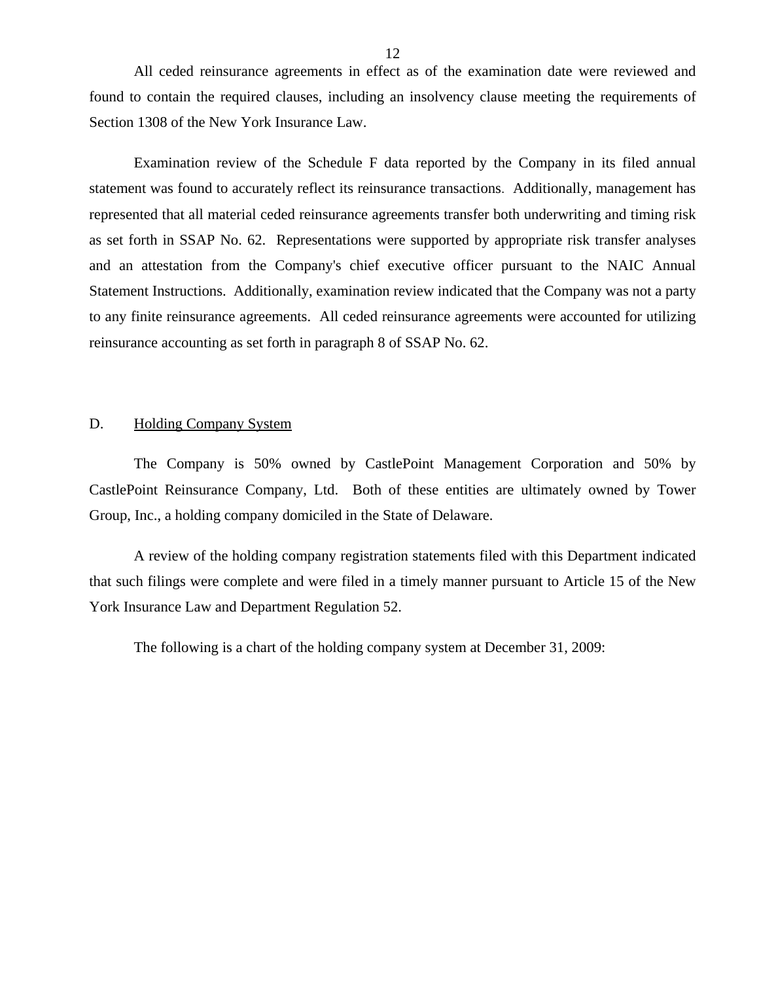<span id="page-13-0"></span>All ceded reinsurance agreements in effect as of the examination date were reviewed and found to contain the required clauses, including an insolvency clause meeting the requirements of Section 1308 of the New York Insurance Law.

Examination review of the Schedule F data reported by the Company in its filed annual statement was found to accurately reflect its reinsurance transactions. Additionally, management has represented that all material ceded reinsurance agreements transfer both underwriting and timing risk as set forth in SSAP No. 62. Representations were supported by appropriate risk transfer analyses and an attestation from the Company's chief executive officer pursuant to the NAIC Annual Statement Instructions. Additionally, examination review indicated that the Company was not a party to any finite reinsurance agreements. All ceded reinsurance agreements were accounted for utilizing reinsurance accounting as set forth in paragraph 8 of SSAP No. 62.

#### D. Holding Company System

The Company is 50% owned by CastlePoint Management Corporation and 50% by CastlePoint Reinsurance Company, Ltd. Both of these entities are ultimately owned by Tower Group, Inc., a holding company domiciled in the State of Delaware.

A review of the holding company registration statements filed with this Department indicated that such filings were complete and were filed in a timely manner pursuant to Article 15 of the New York Insurance Law and Department Regulation 52.

The following is a chart of the holding company system at December 31, 2009: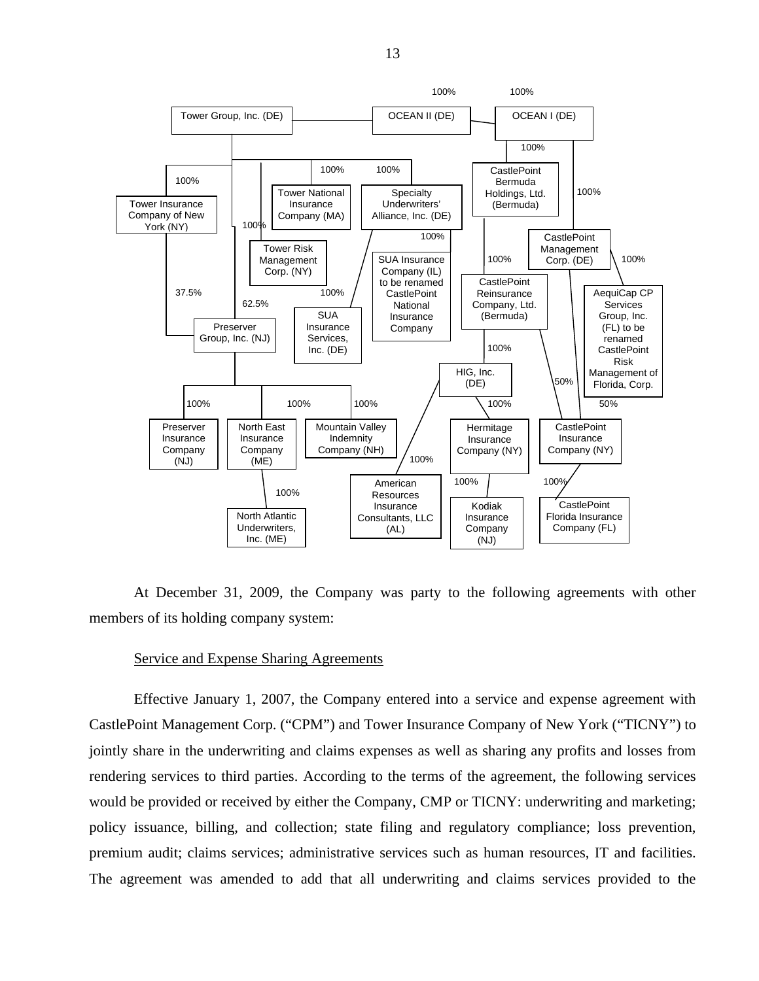

At December 31, 2009, the Company was party to the following agreements with other members of its holding company system:

#### Service and Expense Sharing Agreements

Effective January 1, 2007, the Company entered into a service and expense agreement with CastlePoint Management Corp. ("CPM") and Tower Insurance Company of New York ("TICNY") to jointly share in the underwriting and claims expenses as well as sharing any profits and losses from rendering services to third parties. According to the terms of the agreement, the following services would be provided or received by either the Company, CMP or TICNY: underwriting and marketing; policy issuance, billing, and collection; state filing and regulatory compliance; loss prevention, premium audit; claims services; administrative services such as human resources, IT and facilities. The agreement was amended to add that all underwriting and claims services provided to the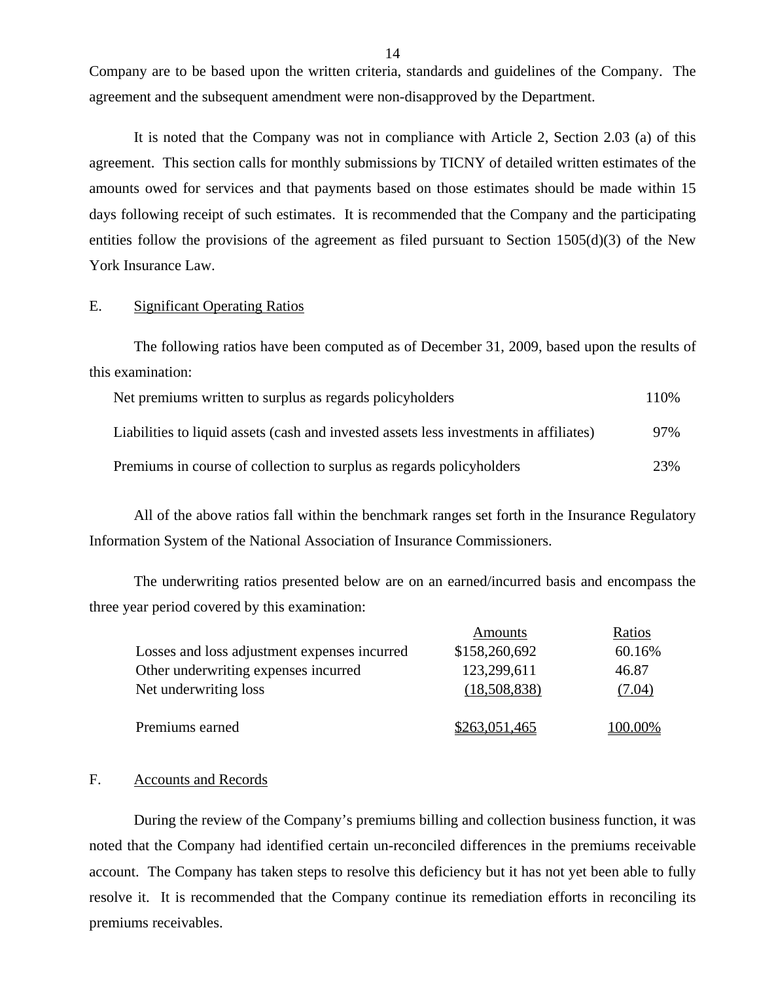Company are to be based upon the written criteria, standards and guidelines of the Company. The agreement and the subsequent amendment were non-disapproved by the Department.

It is noted that the Company was not in compliance with Article 2, Section 2.03 (a) of this agreement. This section calls for monthly submissions by TICNY of detailed written estimates of the amounts owed for services and that payments based on those estimates should be made within 15 days following receipt of such estimates. It is recommended that the Company and the participating entities follow the provisions of the agreement as filed pursuant to Section  $1505(d)(3)$  of the New York Insurance Law.

### E. Significant Operating Ratios

The following ratios have been computed as of December 31, 2009, based upon the results of this examination:

| Net premiums written to surplus as regards policyholders                               | 110\% |
|----------------------------------------------------------------------------------------|-------|
| Liabilities to liquid assets (cash and invested assets less investments in affiliates) | 97%   |
| Premiums in course of collection to surplus as regards policyholders                   | 23%   |

All of the above ratios fall within the benchmark ranges set forth in the Insurance Regulatory Information System of the National Association of Insurance Commissioners.

The underwriting ratios presented below are on an earned/incurred basis and encompass the three year period covered by this examination:

|                                              | Amounts       | Ratios  |
|----------------------------------------------|---------------|---------|
| Losses and loss adjustment expenses incurred | \$158,260,692 | 60.16%  |
| Other underwriting expenses incurred         | 123,299,611   | 46.87   |
| Net underwriting loss                        | (18,508,838)  | (7.04)  |
| Premiums earned                              | \$263,051,465 | 100.00% |

#### F. Accounts and Records

During the review of the Company's premiums billing and collection business function, it was noted that the Company had identified certain un-reconciled differences in the premiums receivable account. The Company has taken steps to resolve this deficiency but it has not yet been able to fully resolve it. It is recommended that the Company continue its remediation efforts in reconciling its premiums receivables.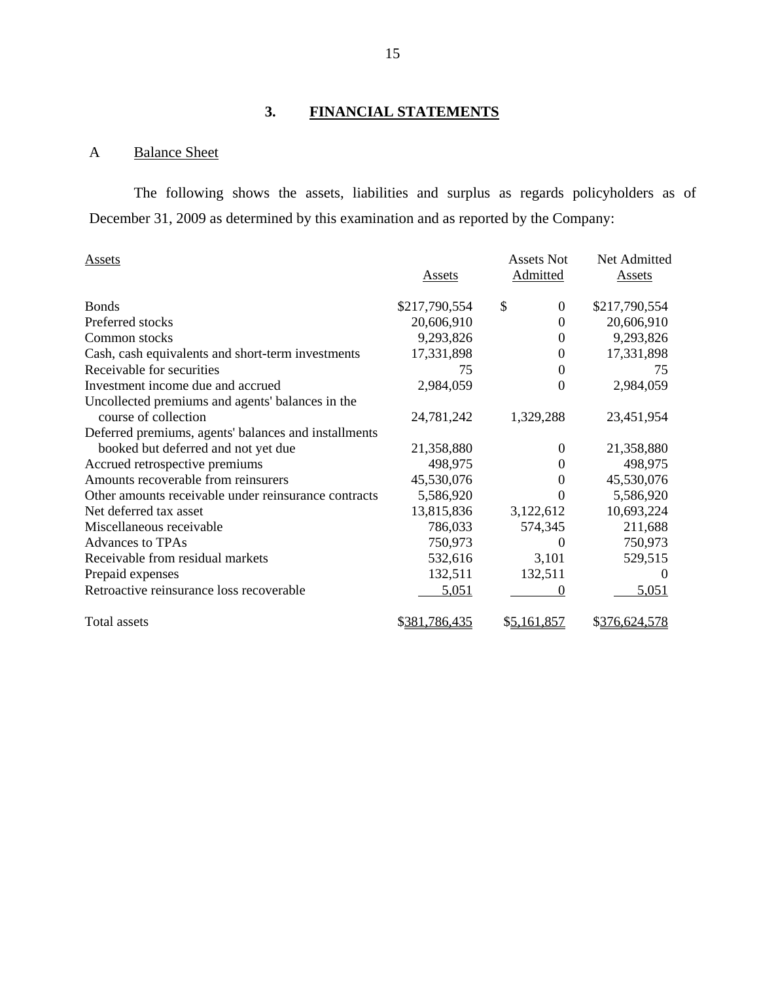# **3. FINANCIAL STATEMENTS**

# A Balance Sheet

The following shows the assets, liabilities and surplus as regards policyholders as of December 31, 2009 as determined by this examination and as reported by the Company:

| Assets                                               |               | <b>Assets Not</b> | Net Admitted  |
|------------------------------------------------------|---------------|-------------------|---------------|
|                                                      | <u>Assets</u> | Admitted          | <b>Assets</b> |
| <b>Bonds</b>                                         | \$217,790,554 | \$<br>$\Omega$    | \$217,790,554 |
| Preferred stocks                                     | 20,606,910    | 0                 | 20,606,910    |
| Common stocks                                        | 9,293,826     | 0                 | 9,293,826     |
| Cash, cash equivalents and short-term investments    | 17,331,898    | 0                 | 17,331,898    |
| Receivable for securities                            | 75            | $\boldsymbol{0}$  | 75            |
| Investment income due and accrued                    | 2,984,059     | $\theta$          | 2,984,059     |
| Uncollected premiums and agents' balances in the     |               |                   |               |
| course of collection                                 | 24,781,242    | 1,329,288         | 23,451,954    |
| Deferred premiums, agents' balances and installments |               |                   |               |
| booked but deferred and not yet due                  | 21,358,880    | $\Omega$          | 21,358,880    |
| Accrued retrospective premiums                       | 498,975       | $\Omega$          | 498,975       |
| Amounts recoverable from reinsurers                  | 45,530,076    | 0                 | 45,530,076    |
| Other amounts receivable under reinsurance contracts | 5,586,920     | 0                 | 5,586,920     |
| Net deferred tax asset                               | 13,815,836    | 3,122,612         | 10,693,224    |
| Miscellaneous receivable                             | 786,033       | 574,345           | 211,688       |
| <b>Advances to TPAs</b>                              | 750,973       | 0                 | 750,973       |
| Receivable from residual markets                     | 532,616       | 3,101             | 529,515       |
| Prepaid expenses                                     | 132,511       | 132,511           |               |
| Retroactive reinsurance loss recoverable             | 5,051         | 0                 | 5,051         |
| <b>Total</b> assets                                  | \$381,786,435 | \$5,161,857       | \$376,624,578 |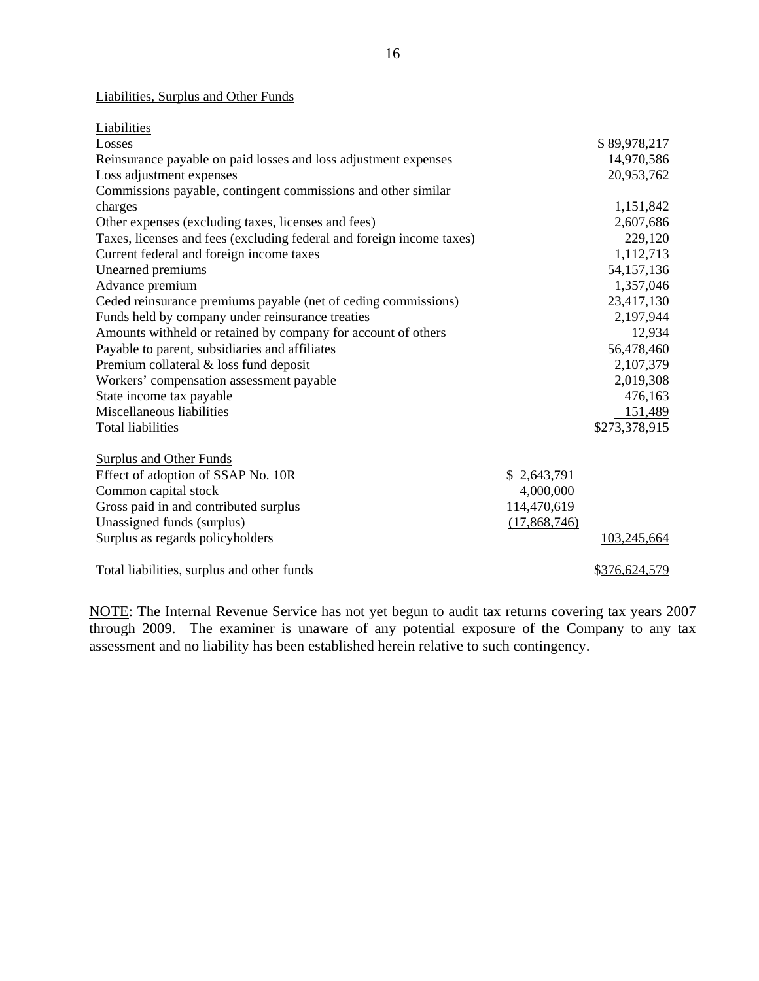### Liabilities, Surplus and Other Funds

| Liabilities                                                           |              |               |
|-----------------------------------------------------------------------|--------------|---------------|
| Losses                                                                |              | \$89,978,217  |
| Reinsurance payable on paid losses and loss adjustment expenses       |              | 14,970,586    |
| Loss adjustment expenses                                              |              | 20,953,762    |
| Commissions payable, contingent commissions and other similar         |              |               |
| charges                                                               |              | 1,151,842     |
| Other expenses (excluding taxes, licenses and fees)                   |              | 2,607,686     |
| Taxes, licenses and fees (excluding federal and foreign income taxes) |              | 229,120       |
| Current federal and foreign income taxes                              |              | 1,112,713     |
| Unearned premiums                                                     |              | 54, 157, 136  |
| Advance premium                                                       |              | 1,357,046     |
| Ceded reinsurance premiums payable (net of ceding commissions)        |              | 23,417,130    |
| Funds held by company under reinsurance treaties                      |              | 2,197,944     |
| Amounts withheld or retained by company for account of others         |              | 12,934        |
| Payable to parent, subsidiaries and affiliates                        |              | 56,478,460    |
| Premium collateral & loss fund deposit                                |              | 2,107,379     |
| Workers' compensation assessment payable                              |              | 2,019,308     |
| State income tax payable                                              |              | 476,163       |
| Miscellaneous liabilities                                             |              | 151,489       |
| <b>Total liabilities</b>                                              |              | \$273,378,915 |
| <b>Surplus and Other Funds</b>                                        |              |               |
| Effect of adoption of SSAP No. 10R                                    | \$2,643,791  |               |
| Common capital stock                                                  | 4,000,000    |               |
| Gross paid in and contributed surplus                                 | 114,470,619  |               |
| Unassigned funds (surplus)                                            | (17,868,746) |               |
| Surplus as regards policyholders                                      |              | 103,245,664   |
| Total liabilities, surplus and other funds                            |              | \$376,624,579 |

NOTE: The Internal Revenue Service has not yet begun to audit tax returns covering tax years 2007 through 2009. The examiner is unaware of any potential exposure of the Company to any tax assessment and no liability has been established herein relative to such contingency.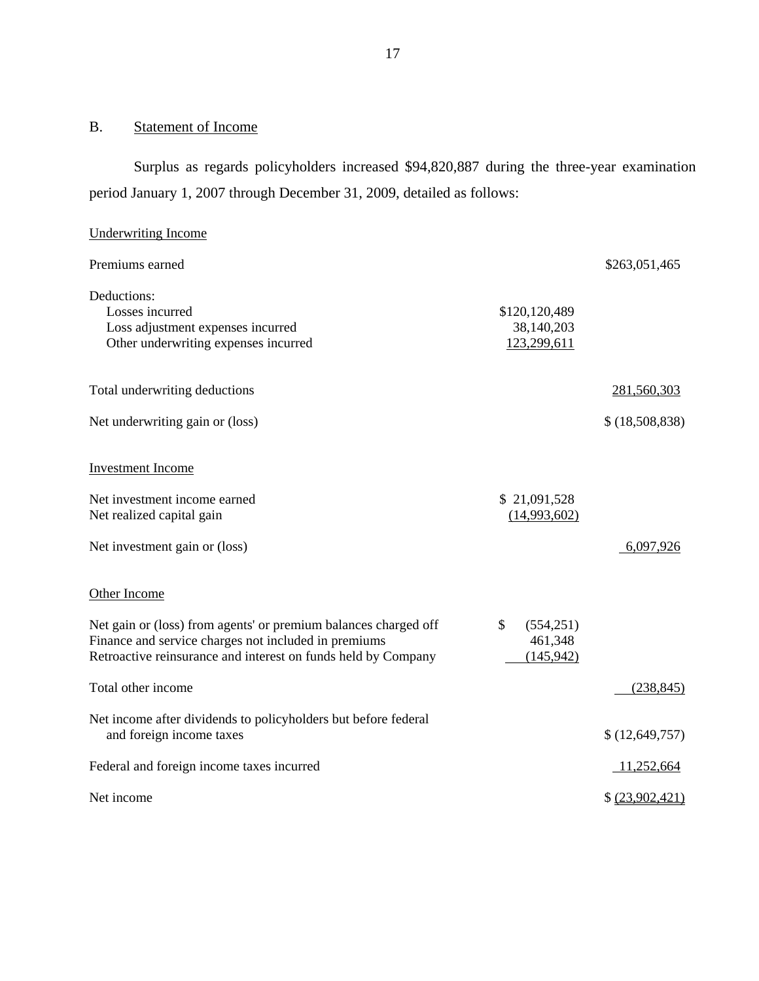# B. Statement of Income

Surplus as regards policyholders increased \$94,820,887 during the three-year examination period January 1, 2007 through December 31, 2009, detailed as follows:

| <b>Underwriting Income</b>                                                                                                                                                               |                                                     |                 |
|------------------------------------------------------------------------------------------------------------------------------------------------------------------------------------------|-----------------------------------------------------|-----------------|
| Premiums earned                                                                                                                                                                          |                                                     | \$263,051,465   |
| Deductions:<br>Losses incurred<br>Loss adjustment expenses incurred<br>Other underwriting expenses incurred                                                                              | \$120,120,489<br>38,140,203<br>123,299,611          |                 |
| Total underwriting deductions                                                                                                                                                            |                                                     | 281,560,303     |
| Net underwriting gain or (loss)                                                                                                                                                          |                                                     | \$ (18,508,838) |
| <b>Investment Income</b>                                                                                                                                                                 |                                                     |                 |
| Net investment income earned<br>Net realized capital gain                                                                                                                                | \$21,091,528<br>(14,993,602)                        |                 |
| Net investment gain or (loss)                                                                                                                                                            |                                                     | 6,097,926       |
| Other Income                                                                                                                                                                             |                                                     |                 |
| Net gain or (loss) from agents' or premium balances charged off<br>Finance and service charges not included in premiums<br>Retroactive reinsurance and interest on funds held by Company | $\mathbb{S}$<br>(554, 251)<br>461,348<br>(145, 942) |                 |
| Total other income                                                                                                                                                                       |                                                     | (238, 845)      |
| Net income after dividends to policyholders but before federal<br>and foreign income taxes                                                                                               |                                                     | \$(12,649,757)  |
| Federal and foreign income taxes incurred                                                                                                                                                |                                                     | 11,252,664      |
| Net income                                                                                                                                                                               |                                                     | \$ (23,902,421) |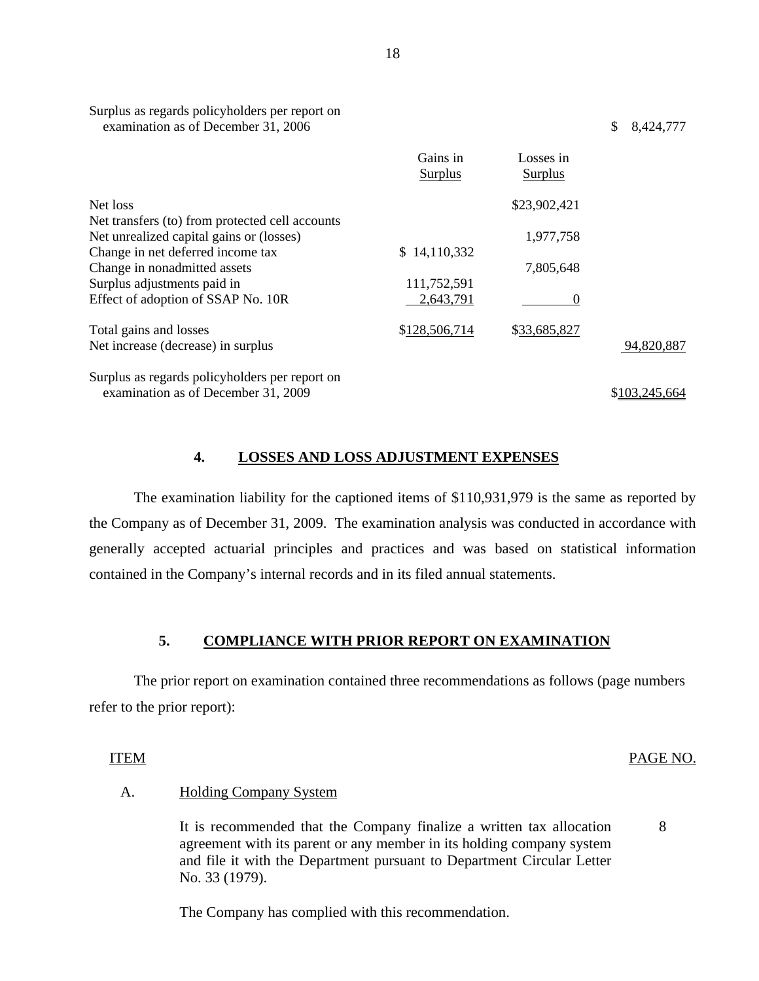| examination as of December 31, 2006             |                            |                             | \$<br>8,424,777 |
|-------------------------------------------------|----------------------------|-----------------------------|-----------------|
|                                                 | Gains in<br><b>Surplus</b> | Losses in<br><b>Surplus</b> |                 |
| Net loss                                        |                            | \$23,902,421                |                 |
| Net transfers (to) from protected cell accounts |                            |                             |                 |
| Net unrealized capital gains or (losses)        |                            | 1,977,758                   |                 |
| Change in net deferred income tax               | \$14,110,332               |                             |                 |
| Change in nonadmitted assets                    |                            | 7,805,648                   |                 |
| Surplus adjustments paid in                     | 111,752,591                |                             |                 |
| Effect of adoption of SSAP No. 10R              | 2,643,791                  | $\Omega$                    |                 |
| Total gains and losses                          | \$128,506,714              | \$33,685,827                |                 |
| Net increase (decrease) in surplus              |                            |                             | 94,820,887      |
| Surplus as regards policyholders per report on  |                            |                             |                 |
| examination as of December 31, 2009             |                            |                             | \$103,245,664   |

## **4. LOSSES AND LOSS ADJUSTMENT EXPENSES**

The examination liability for the captioned items of \$110,931,979 is the same as reported by the Company as of December 31, 2009. The examination analysis was conducted in accordance with generally accepted actuarial principles and practices and was based on statistical information contained in the Company's internal records and in its filed annual statements.

#### **5. COMPLIANCE WITH PRIOR REPORT ON EXAMINATION**

The prior report on examination contained three recommendations as follows (page numbers refer to the prior report):

#### ITEM PAGE NO.

8

#### A. Holding Company System

Surplus as regards policyholders per report on

It is recommended that the Company finalize a written tax allocation agreement with its parent or any member in its holding company system and file it with the Department pursuant to Department Circular Letter No. 33 (1979).

The Company has complied with this recommendation.

18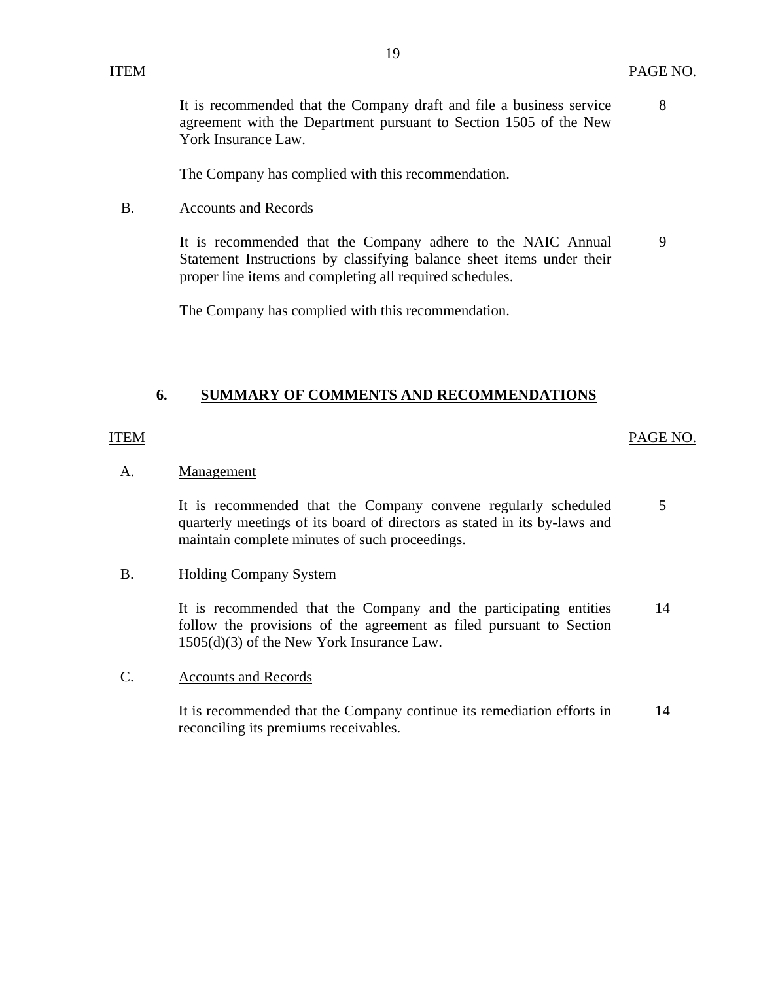8

<span id="page-20-0"></span>It is recommended that the Company draft and file a business service agreement with the Department pursuant to Section 1505 of the New York Insurance Law.

The Company has complied with this recommendation.

B. Accounts and Records

> It is recommended that the Company adhere to the NAIC Annual Statement Instructions by classifying balance sheet items under their proper line items and completing all required schedules. 9

The Company has complied with this recommendation.

#### **6. SUMMARY OF COMMENTS AND RECOMMENDATIONS**

#### ITEM

#### PAGE NO.

#### A. **Management**

It is recommended that the Company convene regularly scheduled quarterly meetings of its board of directors as stated in its by-laws and maintain complete minutes of such proceedings. 5

#### B. Holding Company System

It is recommended that the Company and the participating entities follow the provisions of the agreement as filed pursuant to Section 1505(d)(3) of the New York Insurance Law. 14

C. Accounts and Records

> It is recommended that the Company continue its remediation efforts in reconciling its premiums receivables. 14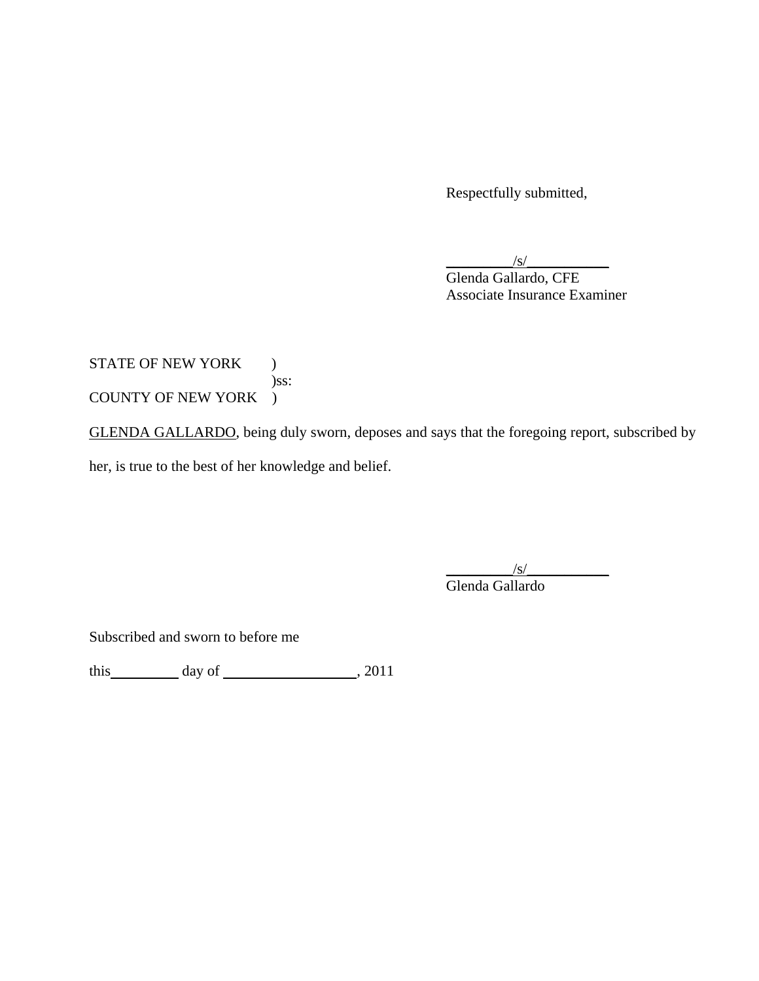Respectfully submitted,

 $/S/$ 

 Glenda Gallardo, CFE Associate Insurance Examiner

# STATE OF NEW YORK ) )ss: COUNTY OF NEW YORK )

GLENDA GALLARDO, being duly sworn, deposes and says that the foregoing report, subscribed by

her, is true to the best of her knowledge and belief.

 $\sqrt{s/}$ 

Glenda Gallardo

Subscribed and sworn to before me

this  $\qquad \qquad \text{day of} \qquad \qquad 2011$